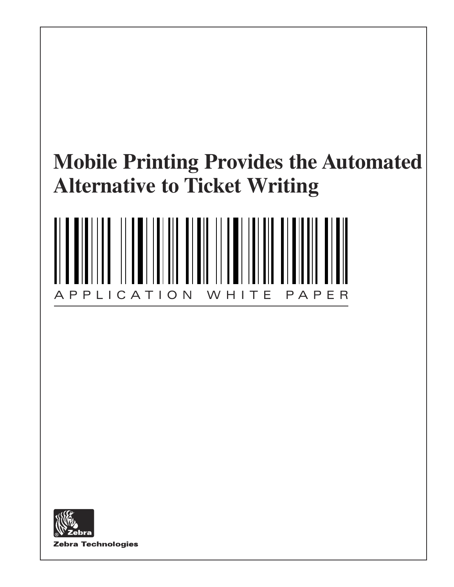# **Mobile Printing Provides the Automated Alternative to Ticket Writing**



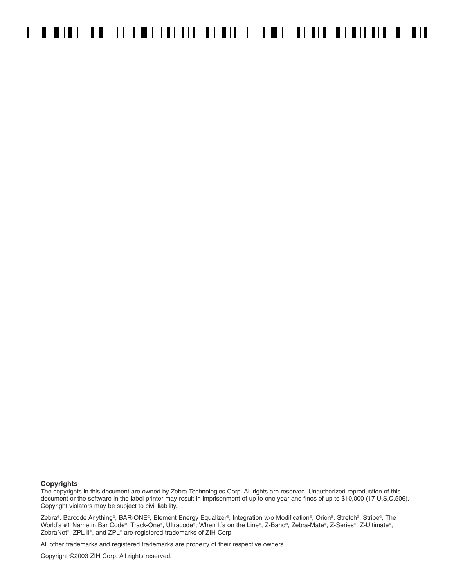#### **Copyrights**

The copyrights in this document are owned by Zebra Technologies Corp. All rights are reserved. Unauthorized reproduction of this document or the software in the label printer may result in imprisonment of up to one year and fines of up to \$10,000 (17 U.S.C.506). Copyright violators may be subject to civil liability.

Zebra®, Barcode Anything®, BAR-ONE®, Element Energy Equalizer®, Integration w/o Modification®, Orion®, Stretch®, Stripe®, The World's #1 Name in Bar Code®, Track-One®, Ultracode®, When It's on the Line®, Z-Band®, Zebra-Mate®, Z-Series®, Z-Ultimate®, ZebraNet®, ZPL II®, and ZPL® are registered trademarks of ZIH Corp.

All other trademarks and registered trademarks are property of their respective owners.

Copyright ©2003 ZIH Corp. All rights reserved.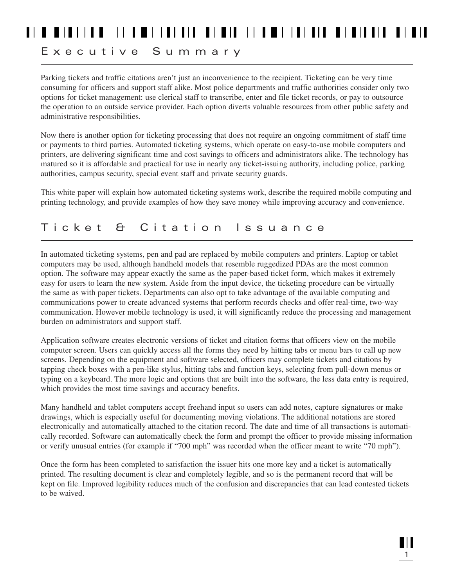### 

#### Executive Summary

Parking tickets and traffic citations aren't just an inconvenience to the recipient. Ticketing can be very time consuming for officers and support staff alike. Most police departments and traffic authorities consider only two options for ticket management: use clerical staff to transcribe, enter and file ticket records, or pay to outsource the operation to an outside service provider. Each option diverts valuable resources from other public safety and administrative responsibilities.

Now there is another option for ticketing processing that does not require an ongoing commitment of staff time or payments to third parties. Automated ticketing systems, which operate on easy-to-use mobile computers and printers, are delivering significant time and cost savings to officers and administrators alike. The technology has matured so it is affordable and practical for use in nearly any ticket-issuing authority, including police, parking authorities, campus security, special event staff and private security guards.

This white paper will explain how automated ticketing systems work, describe the required mobile computing and printing technology, and provide examples of how they save money while improving accuracy and convenience.

#### Ticket & Citation Issuance

In automated ticketing systems, pen and pad are replaced by mobile computers and printers. Laptop or tablet computers may be used, although handheld models that resemble ruggedized PDAs are the most common option. The software may appear exactly the same as the paper-based ticket form, which makes it extremely easy for users to learn the new system. Aside from the input device, the ticketing procedure can be virtually the same as with paper tickets. Departments can also opt to take advantage of the available computing and communications power to create advanced systems that perform records checks and offer real-time, two-way communication. However mobile technology is used, it will significantly reduce the processing and management burden on administrators and support staff.

Application software creates electronic versions of ticket and citation forms that officers view on the mobile computer screen. Users can quickly access all the forms they need by hitting tabs or menu bars to call up new screens. Depending on the equipment and software selected, officers may complete tickets and citations by tapping check boxes with a pen-like stylus, hitting tabs and function keys, selecting from pull-down menus or typing on a keyboard. The more logic and options that are built into the software, the less data entry is required, which provides the most time savings and accuracy benefits.

Many handheld and tablet computers accept freehand input so users can add notes, capture signatures or make drawings, which is especially useful for documenting moving violations. The additional notations are stored electronically and automatically attached to the citation record. The date and time of all transactions is automatically recorded. Software can automatically check the form and prompt the officer to provide missing information or verify unusual entries (for example if "700 mph" was recorded when the officer meant to write "70 mph").

Once the form has been completed to satisfaction the issuer hits one more key and a ticket is automatically printed. The resulting document is clear and completely legible, and so is the permanent record that will be kept on file. Improved legibility reduces much of the confusion and discrepancies that can lead contested tickets to be waived.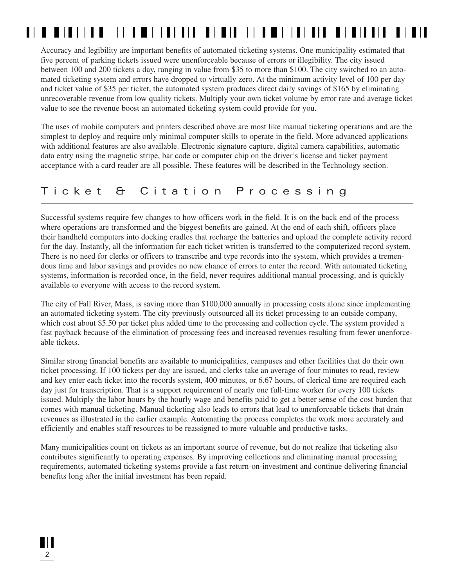#### **II I III III**

Accuracy and legibility are important benefits of automated ticketing systems. One municipality estimated that five percent of parking tickets issued were unenforceable because of errors or illegibility. The city issued between 100 and 200 tickets a day, ranging in value from \$35 to more than \$100. The city switched to an automated ticketing system and errors have dropped to virtually zero. At the minimum activity level of 100 per day and ticket value of \$35 per ticket, the automated system produces direct daily savings of \$165 by eliminating unrecoverable revenue from low quality tickets. Multiply your own ticket volume by error rate and average ticket value to see the revenue boost an automated ticketing system could provide for you.

The uses of mobile computers and printers described above are most like manual ticketing operations and are the simplest to deploy and require only minimal computer skills to operate in the field. More advanced applications with additional features are also available. Electronic signature capture, digital camera capabilities, automatic data entry using the magnetic stripe, bar code or computer chip on the driver's license and ticket payment acceptance with a card reader are all possible. These features will be described in the Technology section.

#### Ticket & Citation Processing

Successful systems require few changes to how officers work in the field. It is on the back end of the process where operations are transformed and the biggest benefits are gained. At the end of each shift, officers place their handheld computers into docking cradles that recharge the batteries and upload the complete activity record for the day. Instantly, all the information for each ticket written is transferred to the computerized record system. There is no need for clerks or officers to transcribe and type records into the system, which provides a tremendous time and labor savings and provides no new chance of errors to enter the record. With automated ticketing systems, information is recorded once, in the field, never requires additional manual processing, and is quickly available to everyone with access to the record system.

The city of Fall River, Mass, is saving more than \$100,000 annually in processing costs alone since implementing an automated ticketing system. The city previously outsourced all its ticket processing to an outside company, which cost about \$5.50 per ticket plus added time to the processing and collection cycle. The system provided a fast payback because of the elimination of processing fees and increased revenues resulting from fewer unenforceable tickets.

Similar strong financial benefits are available to municipalities, campuses and other facilities that do their own ticket processing. If 100 tickets per day are issued, and clerks take an average of four minutes to read, review and key enter each ticket into the records system, 400 minutes, or 6.67 hours, of clerical time are required each day just for transcription. That is a support requirement of nearly one full-time worker for every 100 tickets issued. Multiply the labor hours by the hourly wage and benefits paid to get a better sense of the cost burden that comes with manual ticketing. Manual ticketing also leads to errors that lead to unenforceable tickets that drain revenues as illustrated in the earlier example. Automating the process completes the work more accurately and efficiently and enables staff resources to be reassigned to more valuable and productive tasks.

Many municipalities count on tickets as an important source of revenue, but do not realize that ticketing also contributes significantly to operating expenses. By improving collections and eliminating manual processing requirements, automated ticketing systems provide a fast return-on-investment and continue delivering financial benefits long after the initial investment has been repaid.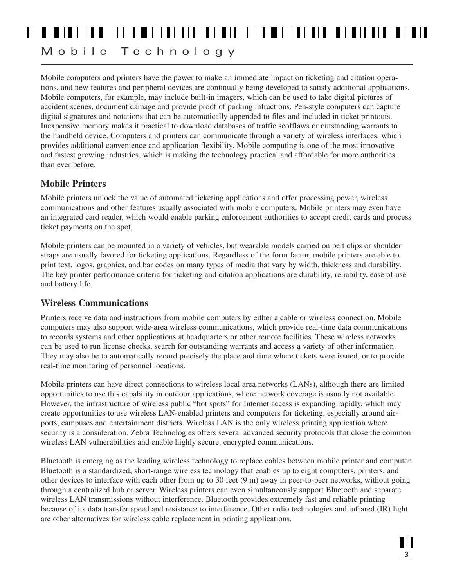### 

### Mobile Technology

Mobile computers and printers have the power to make an immediate impact on ticketing and citation operations, and new features and peripheral devices are continually being developed to satisfy additional applications. Mobile computers, for example, may include built-in imagers, which can be used to take digital pictures of accident scenes, document damage and provide proof of parking infractions. Pen-style computers can capture digital signatures and notations that can be automatically appended to files and included in ticket printouts. Inexpensive memory makes it practical to download databases of traffic scofflaws or outstanding warrants to the handheld device. Computers and printers can communicate through a variety of wireless interfaces, which provides additional convenience and application flexibility. Mobile computing is one of the most innovative and fastest growing industries, which is making the technology practical and affordable for more authorities than ever before.

#### **Mobile Printers**

Mobile printers unlock the value of automated ticketing applications and offer processing power, wireless communications and other features usually associated with mobile computers. Mobile printers may even have an integrated card reader, which would enable parking enforcement authorities to accept credit cards and process ticket payments on the spot.

Mobile printers can be mounted in a variety of vehicles, but wearable models carried on belt clips or shoulder straps are usually favored for ticketing applications. Regardless of the form factor, mobile printers are able to print text, logos, graphics, and bar codes on many types of media that vary by width, thickness and durability. The key printer performance criteria for ticketing and citation applications are durability, reliability, ease of use and battery life.

#### **Wireless Communications**

Printers receive data and instructions from mobile computers by either a cable or wireless connection. Mobile computers may also support wide-area wireless communications, which provide real-time data communications to records systems and other applications at headquarters or other remote facilities. These wireless networks can be used to run license checks, search for outstanding warrants and access a variety of other information. They may also be to automatically record precisely the place and time where tickets were issued, or to provide real-time monitoring of personnel locations.

Mobile printers can have direct connections to wireless local area networks (LANs), although there are limited opportunities to use this capability in outdoor applications, where network coverage is usually not available. However, the infrastructure of wireless public "hot spots" for Internet access is expanding rapidly, which may create opportunities to use wireless LAN-enabled printers and computers for ticketing, especially around airports, campuses and entertainment districts. Wireless LAN is the only wireless printing application where security is a consideration. Zebra Technologies offers several advanced security protocols that close the common wireless LAN vulnerabilities and enable highly secure, encrypted communications.

Bluetooth is emerging as the leading wireless technology to replace cables between mobile printer and computer. Bluetooth is a standardized, short-range wireless technology that enables up to eight computers, printers, and other devices to interface with each other from up to 30 feet (9 m) away in peer-to-peer networks, without going through a centralized hub or server. Wireless printers can even simultaneously support Bluetooth and separate wireless LAN transmissions without interference. Bluetooth provides extremely fast and reliable printing because of its data transfer speed and resistance to interference. Other radio technologies and infrared (IR) light are other alternatives for wireless cable replacement in printing applications.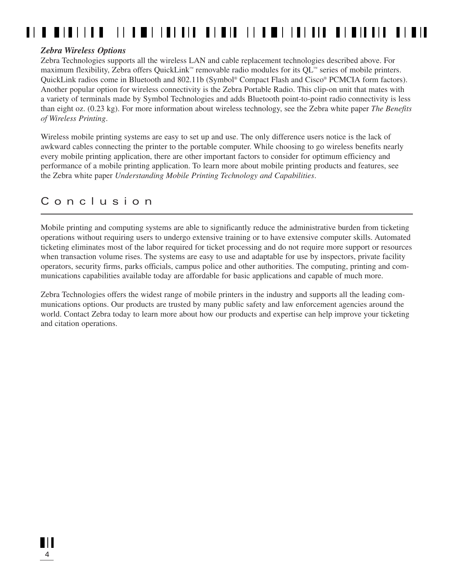#### **II I III III**

#### *Zebra Wireless Options*

Zebra Technologies supports all the wireless LAN and cable replacement technologies described above. For maximum flexibility, Zebra offers QuickLink™ removable radio modules for its QL™ series of mobile printers. QuickLink radios come in Bluetooth and 802.11b (Symbol® Compact Flash and Cisco® PCMCIA form factors). Another popular option for wireless connectivity is the Zebra Portable Radio. This clip-on unit that mates with a variety of terminals made by Symbol Technologies and adds Bluetooth point-to-point radio connectivity is less than eight oz. (0.23 kg). For more information about wireless technology, see the Zebra white paper *The Benefits of Wireless Printing*.

Wireless mobile printing systems are easy to set up and use. The only difference users notice is the lack of awkward cables connecting the printer to the portable computer. While choosing to go wireless benefits nearly every mobile printing application, there are other important factors to consider for optimum efficiency and performance of a mobile printing application. To learn more about mobile printing products and features, see the Zebra white paper *Understanding Mobile Printing Technology and Capabilities*.

#### Conclusion

Mobile printing and computing systems are able to significantly reduce the administrative burden from ticketing operations without requiring users to undergo extensive training or to have extensive computer skills. Automated ticketing eliminates most of the labor required for ticket processing and do not require more support or resources when transaction volume rises. The systems are easy to use and adaptable for use by inspectors, private facility operators, security firms, parks officials, campus police and other authorities. The computing, printing and communications capabilities available today are affordable for basic applications and capable of much more.

Zebra Technologies offers the widest range of mobile printers in the industry and supports all the leading communications options. Our products are trusted by many public safety and law enforcement agencies around the world. Contact Zebra today to learn more about how our products and expertise can help improve your ticketing and citation operations.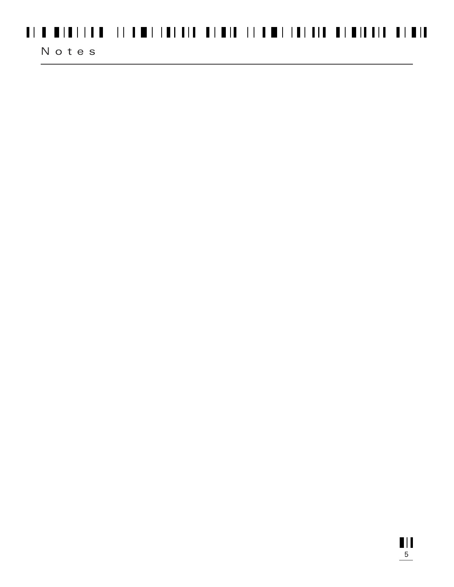## 

#### Notes